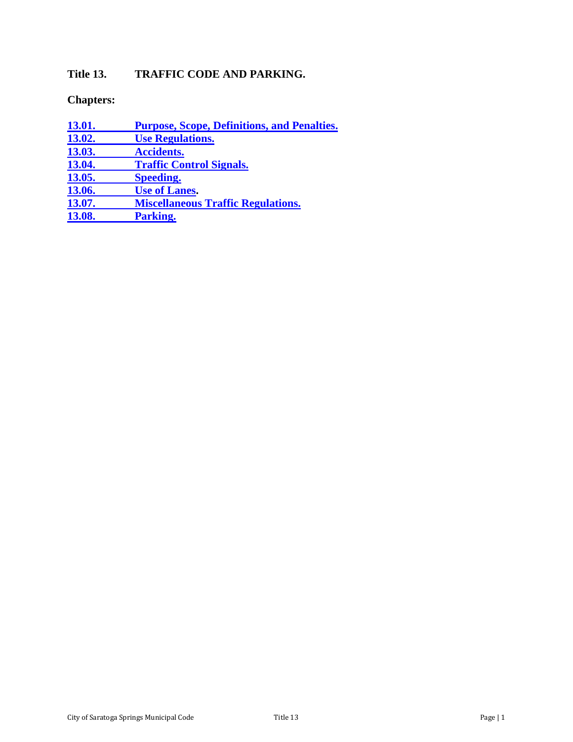# **Title 13. TRAFFIC CODE AND PARKING.**

**Chapters:**

| <b>13.01.</b> | <b>Purpose, Scope, Definitions, and Penalties.</b> |
|---------------|----------------------------------------------------|
| 13.02.        | <b>Use Regulations.</b>                            |
| 13.03.        | <b>Accidents.</b>                                  |
| 13.04.        | <b>Traffic Control Signals.</b>                    |
| 13.05.        | <b>Speeding.</b>                                   |
| 13.06.        | <b>Use of Lanes.</b>                               |
| 13.07.        | <b>Miscellaneous Traffic Regulations.</b>          |
| 13.08.        | Parking.                                           |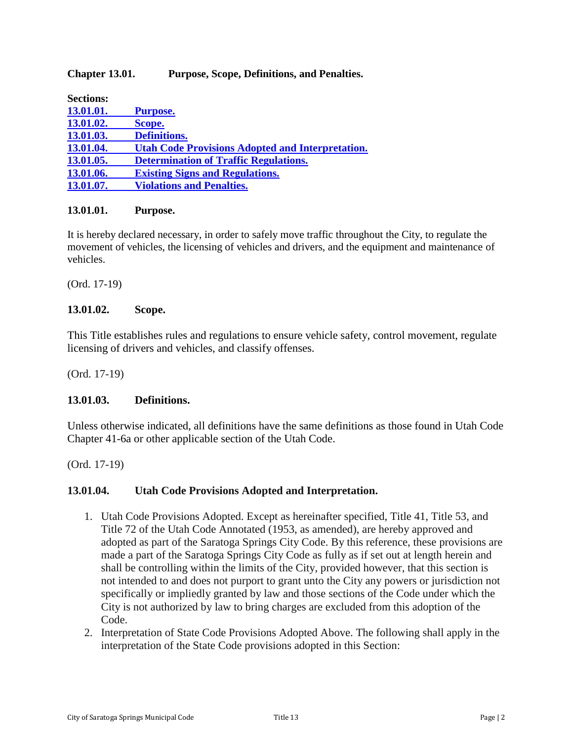#### <span id="page-1-0"></span>**Chapter 13.01. Purpose, Scope, Definitions, and Penalties.**

| <b>Sections:</b> |                                                         |
|------------------|---------------------------------------------------------|
| 13.01.01.        | <b>Purpose.</b>                                         |
| 13.01.02.        | Scope.                                                  |
| 13.01.03.        | <b>Definitions.</b>                                     |
| 13.01.04.        | <b>Utah Code Provisions Adopted and Interpretation.</b> |
| 13.01.05.        | <b>Determination of Traffic Regulations.</b>            |
| 13.01.06.        | <b>Existing Signs and Regulations.</b>                  |
| 13.01.07.        | <b>Violations and Penalties.</b>                        |

#### <span id="page-1-1"></span>**13.01.01. Purpose.**

It is hereby declared necessary, in order to safely move traffic throughout the City, to regulate the movement of vehicles, the licensing of vehicles and drivers, and the equipment and maintenance of vehicles.

(Ord. 17-19)

#### <span id="page-1-2"></span>**13.01.02. Scope.**

This Title establishes rules and regulations to ensure vehicle safety, control movement, regulate licensing of drivers and vehicles, and classify offenses.

(Ord. 17-19)

#### <span id="page-1-3"></span>**13.01.03. Definitions.**

Unless otherwise indicated, all definitions have the same definitions as those found in Utah Code Chapter 41-6a or other applicable section of the Utah Code.

(Ord. 17-19)

#### <span id="page-1-4"></span>**13.01.04. Utah Code Provisions Adopted and Interpretation.**

- 1. Utah Code Provisions Adopted. Except as hereinafter specified, Title 41, Title 53, and Title 72 of the Utah Code Annotated (1953, as amended), are hereby approved and adopted as part of the Saratoga Springs City Code. By this reference, these provisions are made a part of the Saratoga Springs City Code as fully as if set out at length herein and shall be controlling within the limits of the City, provided however, that this section is not intended to and does not purport to grant unto the City any powers or jurisdiction not specifically or impliedly granted by law and those sections of the Code under which the City is not authorized by law to bring charges are excluded from this adoption of the Code.
- 2. Interpretation of State Code Provisions Adopted Above. The following shall apply in the interpretation of the State Code provisions adopted in this Section: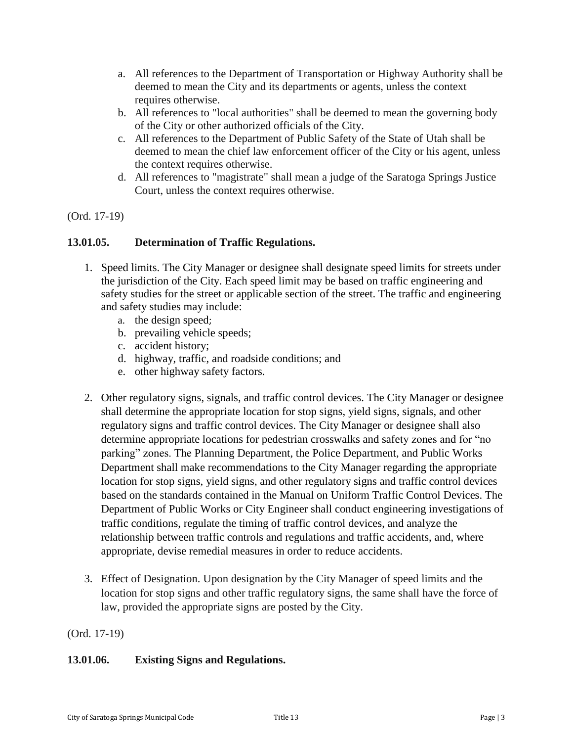- a. All references to the Department of Transportation or Highway Authority shall be deemed to mean the City and its departments or agents, unless the context requires otherwise.
- b. All references to "local authorities" shall be deemed to mean the governing body of the City or other authorized officials of the City.
- c. All references to the Department of Public Safety of the State of Utah shall be deemed to mean the chief law enforcement officer of the City or his agent, unless the context requires otherwise.
- d. All references to "magistrate" shall mean a judge of the Saratoga Springs Justice Court, unless the context requires otherwise.

### <span id="page-2-0"></span>**13.01.05. Determination of Traffic Regulations.**

- 1. Speed limits. The City Manager or designee shall designate speed limits for streets under the jurisdiction of the City. Each speed limit may be based on traffic engineering and safety studies for the street or applicable section of the street. The traffic and engineering and safety studies may include:
	- a. the design speed;
	- b. prevailing vehicle speeds;
	- c. accident history;
	- d. highway, traffic, and roadside conditions; and
	- e. other highway safety factors.
- 2. Other regulatory signs, signals, and traffic control devices. The City Manager or designee shall determine the appropriate location for stop signs, yield signs, signals, and other regulatory signs and traffic control devices. The City Manager or designee shall also determine appropriate locations for pedestrian crosswalks and safety zones and for "no parking" zones. The Planning Department, the Police Department, and Public Works Department shall make recommendations to the City Manager regarding the appropriate location for stop signs, yield signs, and other regulatory signs and traffic control devices based on the standards contained in the Manual on Uniform Traffic Control Devices. The Department of Public Works or City Engineer shall conduct engineering investigations of traffic conditions, regulate the timing of traffic control devices, and analyze the relationship between traffic controls and regulations and traffic accidents, and, where appropriate, devise remedial measures in order to reduce accidents.
- 3. Effect of Designation. Upon designation by the City Manager of speed limits and the location for stop signs and other traffic regulatory signs, the same shall have the force of law, provided the appropriate signs are posted by the City.

(Ord. 17-19)

### <span id="page-2-1"></span>**13.01.06. Existing Signs and Regulations.**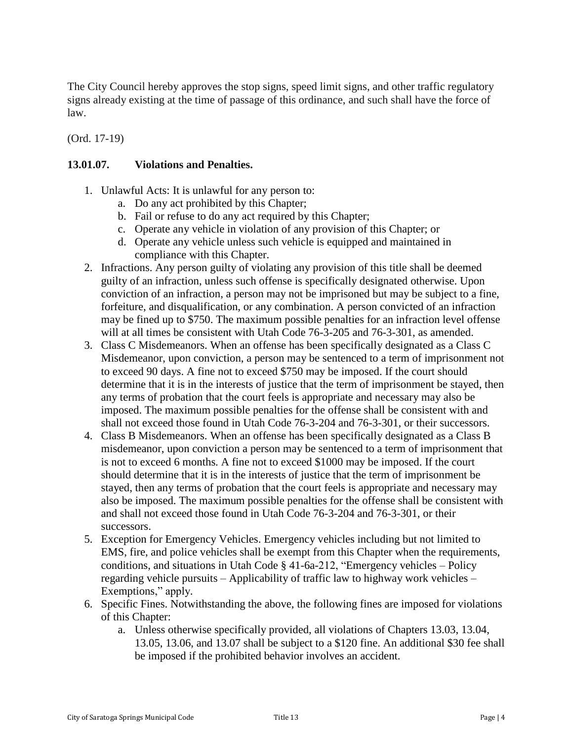The City Council hereby approves the stop signs, speed limit signs, and other traffic regulatory signs already existing at the time of passage of this ordinance, and such shall have the force of law.

(Ord. 17-19)

#### <span id="page-3-0"></span>**13.01.07. Violations and Penalties.**

- 1. Unlawful Acts: It is unlawful for any person to:
	- a. Do any act prohibited by this Chapter;
	- b. Fail or refuse to do any act required by this Chapter;
	- c. Operate any vehicle in violation of any provision of this Chapter; or
	- d. Operate any vehicle unless such vehicle is equipped and maintained in compliance with this Chapter.
- 2. Infractions. Any person guilty of violating any provision of this title shall be deemed guilty of an infraction, unless such offense is specifically designated otherwise. Upon conviction of an infraction, a person may not be imprisoned but may be subject to a fine, forfeiture, and disqualification, or any combination. A person convicted of an infraction may be fined up to \$750. The maximum possible penalties for an infraction level offense will at all times be consistent with Utah Code 76-3-205 and 76-3-301, as amended.
- 3. Class C Misdemeanors. When an offense has been specifically designated as a Class C Misdemeanor, upon conviction, a person may be sentenced to a term of imprisonment not to exceed 90 days. A fine not to exceed \$750 may be imposed. If the court should determine that it is in the interests of justice that the term of imprisonment be stayed, then any terms of probation that the court feels is appropriate and necessary may also be imposed. The maximum possible penalties for the offense shall be consistent with and shall not exceed those found in Utah Code 76-3-204 and 76-3-301, or their successors.
- 4. Class B Misdemeanors. When an offense has been specifically designated as a Class B misdemeanor, upon conviction a person may be sentenced to a term of imprisonment that is not to exceed 6 months. A fine not to exceed \$1000 may be imposed. If the court should determine that it is in the interests of justice that the term of imprisonment be stayed, then any terms of probation that the court feels is appropriate and necessary may also be imposed. The maximum possible penalties for the offense shall be consistent with and shall not exceed those found in Utah Code 76-3-204 and 76-3-301, or their successors.
- 5. Exception for Emergency Vehicles. Emergency vehicles including but not limited to EMS, fire, and police vehicles shall be exempt from this Chapter when the requirements, conditions, and situations in Utah Code § 41-6a-212, "Emergency vehicles – Policy regarding vehicle pursuits – Applicability of traffic law to highway work vehicles – Exemptions," apply.
- 6. Specific Fines. Notwithstanding the above, the following fines are imposed for violations of this Chapter:
	- a. Unless otherwise specifically provided, all violations of Chapters 13.03, 13.04, 13.05, 13.06, and 13.07 shall be subject to a \$120 fine. An additional \$30 fee shall be imposed if the prohibited behavior involves an accident.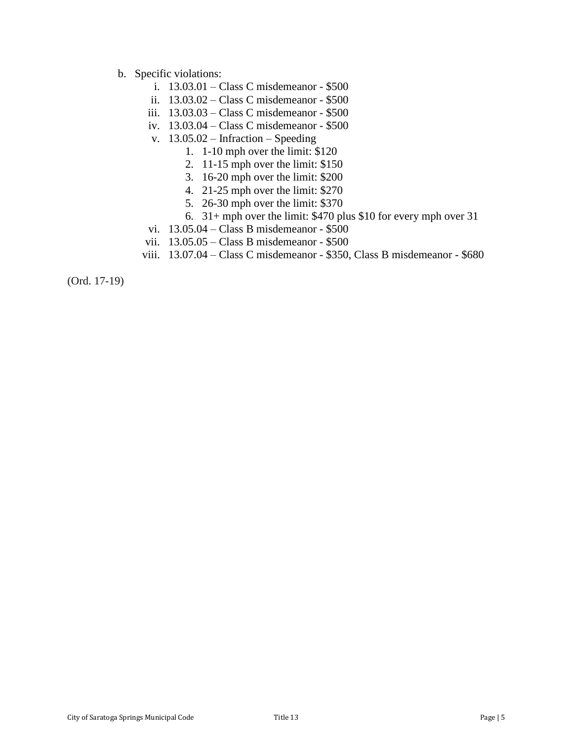- b. Specific violations:
	- i. 13.03.01 Class C misdemeanor \$500
	- ii. 13.03.02 Class C misdemeanor \$500
	- iii. 13.03.03 Class C misdemeanor \$500
	- iv. 13.03.04 Class C misdemeanor \$500
	- v. 13.05.02 Infraction Speeding
		- 1. 1-10 mph over the limit: \$120
		- 2. 11-15 mph over the limit: \$150
		- 3. 16-20 mph over the limit: \$200
		- 4. 21-25 mph over the limit: \$270
		- 5. 26-30 mph over the limit: \$370
		- 6. 31+ mph over the limit: \$470 plus \$10 for every mph over 31
	- vi. 13.05.04 Class B misdemeanor \$500
	- vii. 13.05.05 Class B misdemeanor \$500
	- viii. 13.07.04 Class C misdemeanor \$350, Class B misdemeanor \$680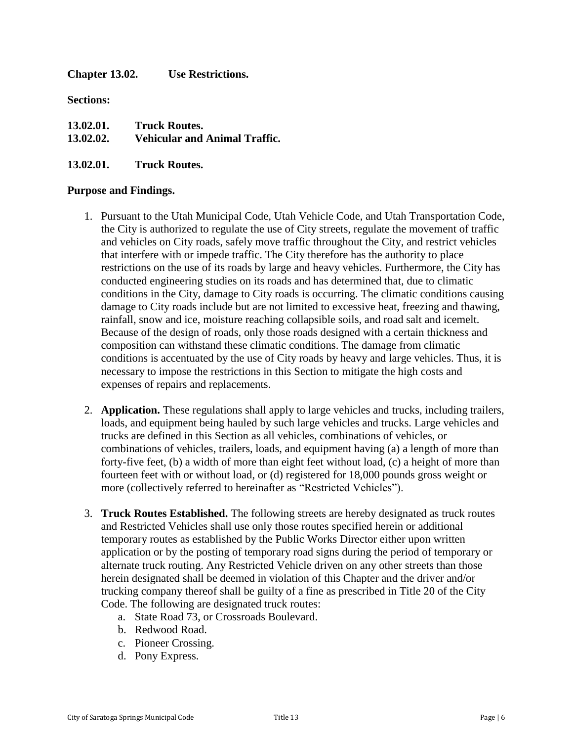<span id="page-5-0"></span>**Chapter 13.02. Use Restrictions.**

**Sections:**

| 13.02.01. | <b>Truck Routes.</b>                 |
|-----------|--------------------------------------|
| 13.02.02. | <b>Vehicular and Animal Traffic.</b> |

### **13.02.01. Truck Routes.**

#### **Purpose and Findings.**

- 1. Pursuant to the Utah Municipal Code, Utah Vehicle Code, and Utah Transportation Code, the City is authorized to regulate the use of City streets, regulate the movement of traffic and vehicles on City roads, safely move traffic throughout the City, and restrict vehicles that interfere with or impede traffic. The City therefore has the authority to place restrictions on the use of its roads by large and heavy vehicles. Furthermore, the City has conducted engineering studies on its roads and has determined that, due to climatic conditions in the City, damage to City roads is occurring. The climatic conditions causing damage to City roads include but are not limited to excessive heat, freezing and thawing, rainfall, snow and ice, moisture reaching collapsible soils, and road salt and icemelt. Because of the design of roads, only those roads designed with a certain thickness and composition can withstand these climatic conditions. The damage from climatic conditions is accentuated by the use of City roads by heavy and large vehicles. Thus, it is necessary to impose the restrictions in this Section to mitigate the high costs and expenses of repairs and replacements.
- 2. **Application.** These regulations shall apply to large vehicles and trucks, including trailers, loads, and equipment being hauled by such large vehicles and trucks. Large vehicles and trucks are defined in this Section as all vehicles, combinations of vehicles, or combinations of vehicles, trailers, loads, and equipment having (a) a length of more than forty-five feet, (b) a width of more than eight feet without load, (c) a height of more than fourteen feet with or without load, or (d) registered for 18,000 pounds gross weight or more (collectively referred to hereinafter as "Restricted Vehicles").
- 3. **Truck Routes Established.** The following streets are hereby designated as truck routes and Restricted Vehicles shall use only those routes specified herein or additional temporary routes as established by the Public Works Director either upon written application or by the posting of temporary road signs during the period of temporary or alternate truck routing. Any Restricted Vehicle driven on any other streets than those herein designated shall be deemed in violation of this Chapter and the driver and/or trucking company thereof shall be guilty of a fine as prescribed in Title 20 of the City Code. The following are designated truck routes:
	- a. State Road 73, or Crossroads Boulevard.
	- b. Redwood Road.
	- c. Pioneer Crossing.
	- d. Pony Express.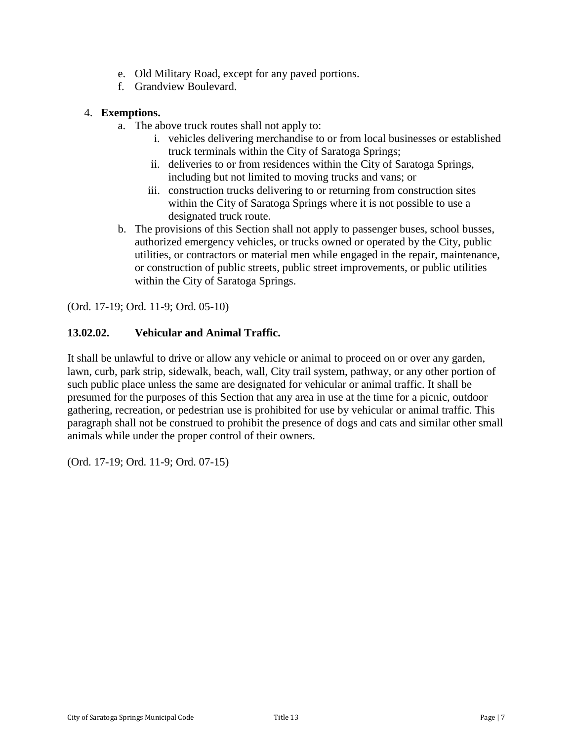- e. Old Military Road, except for any paved portions.
- f. Grandview Boulevard.

### 4. **Exemptions.**

- a. The above truck routes shall not apply to:
	- i. vehicles delivering merchandise to or from local businesses or established truck terminals within the City of Saratoga Springs;
	- ii. deliveries to or from residences within the City of Saratoga Springs, including but not limited to moving trucks and vans; or
	- iii. construction trucks delivering to or returning from construction sites within the City of Saratoga Springs where it is not possible to use a designated truck route.
- b. The provisions of this Section shall not apply to passenger buses, school busses, authorized emergency vehicles, or trucks owned or operated by the City, public utilities, or contractors or material men while engaged in the repair, maintenance, or construction of public streets, public street improvements, or public utilities within the City of Saratoga Springs.

(Ord. 17-19; Ord. 11-9; Ord. 05-10)

### **13.02.02. Vehicular and Animal Traffic.**

It shall be unlawful to drive or allow any vehicle or animal to proceed on or over any garden, lawn, curb, park strip, sidewalk, beach, wall, City trail system, pathway, or any other portion of such public place unless the same are designated for vehicular or animal traffic. It shall be presumed for the purposes of this Section that any area in use at the time for a picnic, outdoor gathering, recreation, or pedestrian use is prohibited for use by vehicular or animal traffic. This paragraph shall not be construed to prohibit the presence of dogs and cats and similar other small animals while under the proper control of their owners.

(Ord. 17-19; Ord. 11-9; Ord. 07-15)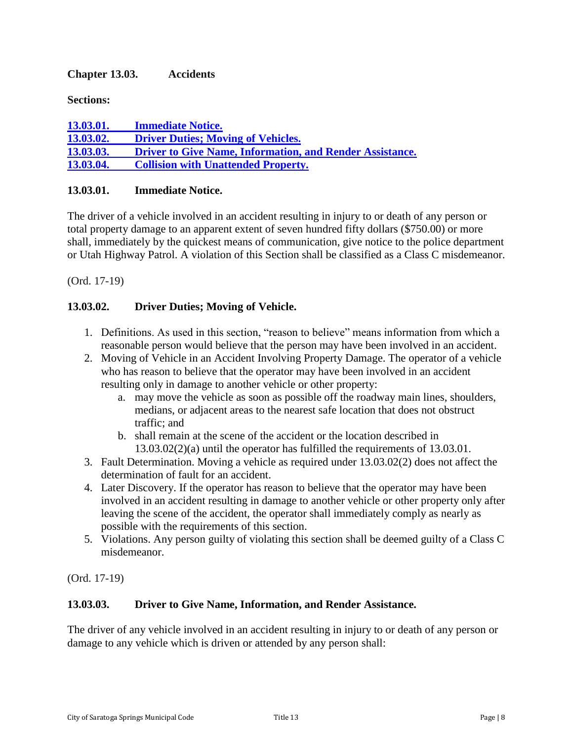### <span id="page-7-0"></span>**Chapter 13.03. Accidents**

**Sections:**

**13.03.01. [Immediate](#page-7-1) Notice. 13.03.02. Driver Duties; Moving of [Vehicles.](#page-7-2) 13.03.03. Driver to Give Name, [Information,](#page-7-3) and Render Assistance. 13.03.04. Collision with [Unattended](#page-8-0) Property.**

### <span id="page-7-1"></span>**13.03.01. Immediate Notice.**

The driver of a vehicle involved in an accident resulting in injury to or death of any person or total property damage to an apparent extent of seven hundred fifty dollars (\$750.00) or more shall, immediately by the quickest means of communication, give notice to the police department or Utah Highway Patrol. A violation of this Section shall be classified as a Class C misdemeanor.

(Ord. 17-19)

### <span id="page-7-2"></span>**13.03.02. Driver Duties; Moving of Vehicle.**

- 1. Definitions. As used in this section, "reason to believe" means information from which a reasonable person would believe that the person may have been involved in an accident.
- 2. Moving of Vehicle in an Accident Involving Property Damage. The operator of a vehicle who has reason to believe that the operator may have been involved in an accident resulting only in damage to another vehicle or other property:
	- a. may move the vehicle as soon as possible off the roadway main lines, shoulders, medians, or adjacent areas to the nearest safe location that does not obstruct traffic; and
	- b. shall remain at the scene of the accident or the location described in 13.03.02(2)(a) until the operator has fulfilled the requirements of 13.03.01.
- 3. Fault Determination. Moving a vehicle as required under 13.03.02(2) does not affect the determination of fault for an accident.
- 4. Later Discovery. If the operator has reason to believe that the operator may have been involved in an accident resulting in damage to another vehicle or other property only after leaving the scene of the accident, the operator shall immediately comply as nearly as possible with the requirements of this section.
- 5. Violations. Any person guilty of violating this section shall be deemed guilty of a Class C misdemeanor.

(Ord. 17-19)

#### <span id="page-7-3"></span>**13.03.03. Driver to Give Name, Information, and Render Assistance.**

The driver of any vehicle involved in an accident resulting in injury to or death of any person or damage to any vehicle which is driven or attended by any person shall: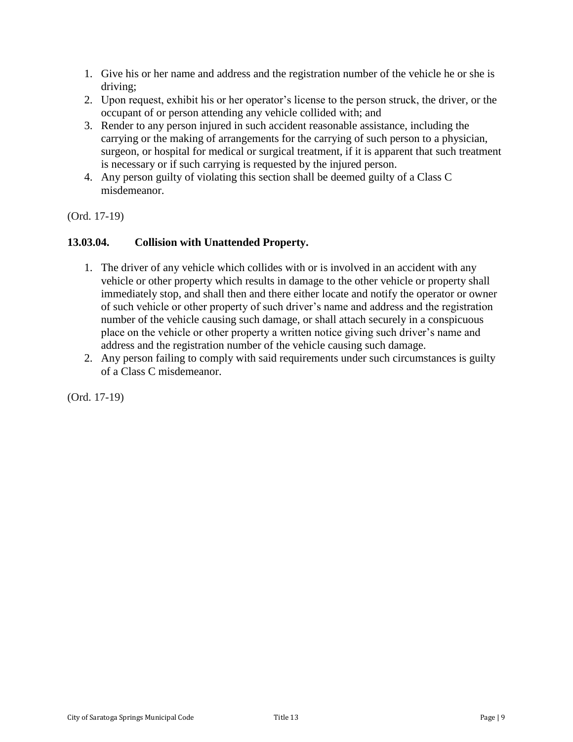- 1. Give his or her name and address and the registration number of the vehicle he or she is driving;
- 2. Upon request, exhibit his or her operator's license to the person struck, the driver, or the occupant of or person attending any vehicle collided with; and
- 3. Render to any person injured in such accident reasonable assistance, including the carrying or the making of arrangements for the carrying of such person to a physician, surgeon, or hospital for medical or surgical treatment, if it is apparent that such treatment is necessary or if such carrying is requested by the injured person.
- 4. Any person guilty of violating this section shall be deemed guilty of a Class C misdemeanor.

### <span id="page-8-0"></span>**13.03.04. Collision with Unattended Property.**

- 1. The driver of any vehicle which collides with or is involved in an accident with any vehicle or other property which results in damage to the other vehicle or property shall immediately stop, and shall then and there either locate and notify the operator or owner of such vehicle or other property of such driver's name and address and the registration number of the vehicle causing such damage, or shall attach securely in a conspicuous place on the vehicle or other property a written notice giving such driver's name and address and the registration number of the vehicle causing such damage.
- 2. Any person failing to comply with said requirements under such circumstances is guilty of a Class C misdemeanor.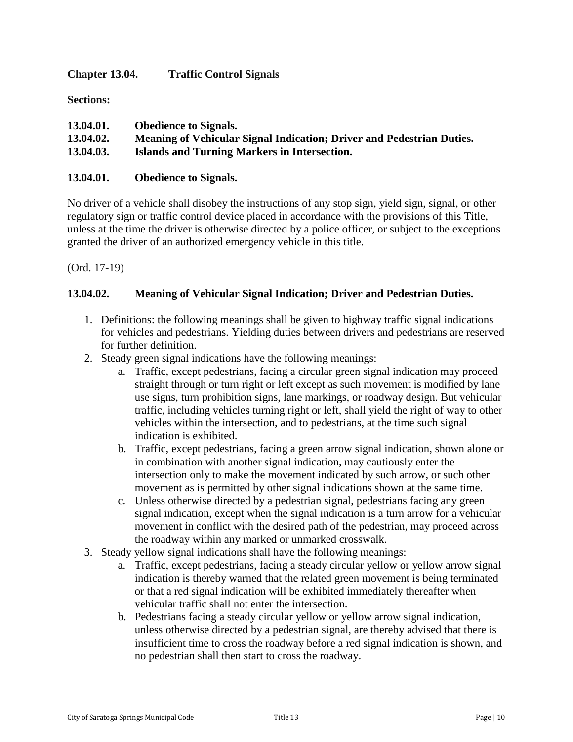<span id="page-9-0"></span>**Chapter 13.04. Traffic Control Signals**

**Sections:**

| 13.04.01. | <b>Obedience to Signals.</b>                                          |
|-----------|-----------------------------------------------------------------------|
| 13.04.02. | Meaning of Vehicular Signal Indication; Driver and Pedestrian Duties. |
| 13.04.03. | Islands and Turning Markers in Intersection.                          |

#### **13.04.01. Obedience to Signals.**

No driver of a vehicle shall disobey the instructions of any stop sign, yield sign, signal, or other regulatory sign or traffic control device placed in accordance with the provisions of this Title, unless at the time the driver is otherwise directed by a police officer, or subject to the exceptions granted the driver of an authorized emergency vehicle in this title.

(Ord. 17-19)

### **13.04.02. Meaning of Vehicular Signal Indication; Driver and Pedestrian Duties.**

- 1. Definitions: the following meanings shall be given to highway traffic signal indications for vehicles and pedestrians. Yielding duties between drivers and pedestrians are reserved for further definition.
- 2. Steady green signal indications have the following meanings:
	- a. Traffic, except pedestrians, facing a circular green signal indication may proceed straight through or turn right or left except as such movement is modified by lane use signs, turn prohibition signs, lane markings, or roadway design. But vehicular traffic, including vehicles turning right or left, shall yield the right of way to other vehicles within the intersection, and to pedestrians, at the time such signal indication is exhibited.
	- b. Traffic, except pedestrians, facing a green arrow signal indication, shown alone or in combination with another signal indication, may cautiously enter the intersection only to make the movement indicated by such arrow, or such other movement as is permitted by other signal indications shown at the same time.
	- c. Unless otherwise directed by a pedestrian signal, pedestrians facing any green signal indication, except when the signal indication is a turn arrow for a vehicular movement in conflict with the desired path of the pedestrian, may proceed across the roadway within any marked or unmarked crosswalk.
- 3. Steady yellow signal indications shall have the following meanings:
	- a. Traffic, except pedestrians, facing a steady circular yellow or yellow arrow signal indication is thereby warned that the related green movement is being terminated or that a red signal indication will be exhibited immediately thereafter when vehicular traffic shall not enter the intersection.
	- b. Pedestrians facing a steady circular yellow or yellow arrow signal indication, unless otherwise directed by a pedestrian signal, are thereby advised that there is insufficient time to cross the roadway before a red signal indication is shown, and no pedestrian shall then start to cross the roadway.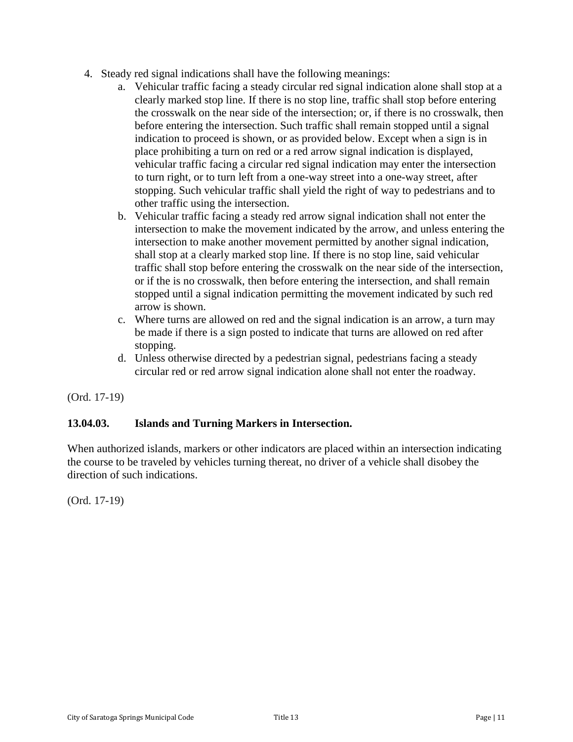- 4. Steady red signal indications shall have the following meanings:
	- a. Vehicular traffic facing a steady circular red signal indication alone shall stop at a clearly marked stop line. If there is no stop line, traffic shall stop before entering the crosswalk on the near side of the intersection; or, if there is no crosswalk, then before entering the intersection. Such traffic shall remain stopped until a signal indication to proceed is shown, or as provided below. Except when a sign is in place prohibiting a turn on red or a red arrow signal indication is displayed, vehicular traffic facing a circular red signal indication may enter the intersection to turn right, or to turn left from a one-way street into a one-way street, after stopping. Such vehicular traffic shall yield the right of way to pedestrians and to other traffic using the intersection.
	- b. Vehicular traffic facing a steady red arrow signal indication shall not enter the intersection to make the movement indicated by the arrow, and unless entering the intersection to make another movement permitted by another signal indication, shall stop at a clearly marked stop line. If there is no stop line, said vehicular traffic shall stop before entering the crosswalk on the near side of the intersection, or if the is no crosswalk, then before entering the intersection, and shall remain stopped until a signal indication permitting the movement indicated by such red arrow is shown.
	- c. Where turns are allowed on red and the signal indication is an arrow, a turn may be made if there is a sign posted to indicate that turns are allowed on red after stopping.
	- d. Unless otherwise directed by a pedestrian signal, pedestrians facing a steady circular red or red arrow signal indication alone shall not enter the roadway.

### **13.04.03. Islands and Turning Markers in Intersection.**

When authorized islands, markers or other indicators are placed within an intersection indicating the course to be traveled by vehicles turning thereat, no driver of a vehicle shall disobey the direction of such indications.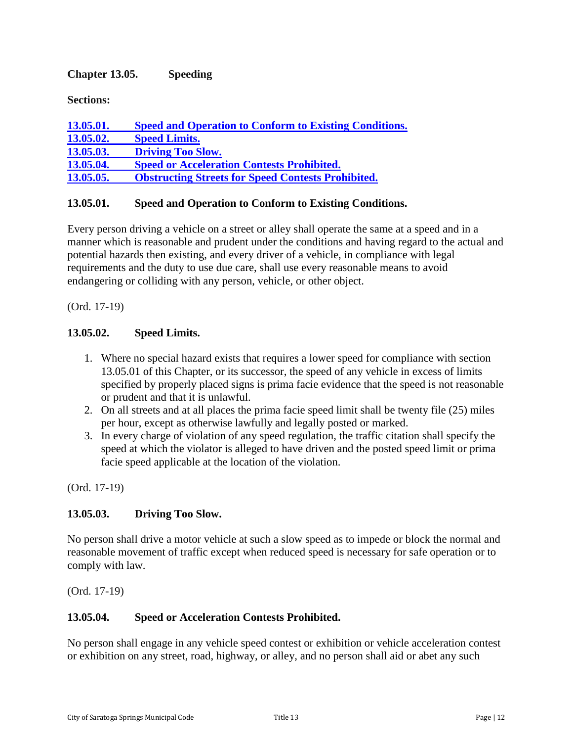## <span id="page-11-0"></span>**Chapter 13.05. Speeding**

**Sections:**

| <b>13.05.01.</b> | <b>Speed and Operation to Conform to Existing Conditions.</b> |
|------------------|---------------------------------------------------------------|
| 13.05.02.        | <b>Speed Limits.</b>                                          |
| 13.05.03.        | <b>Driving Too Slow.</b>                                      |
| 13.05.04.        | <b>Speed or Acceleration Contests Prohibited.</b>             |
| <b>13.05.05.</b> | <b>Obstructing Streets for Speed Contests Prohibited.</b>     |

### <span id="page-11-1"></span>**13.05.01. Speed and Operation to Conform to Existing Conditions.**

Every person driving a vehicle on a street or alley shall operate the same at a speed and in a manner which is reasonable and prudent under the conditions and having regard to the actual and potential hazards then existing, and every driver of a vehicle, in compliance with legal requirements and the duty to use due care, shall use every reasonable means to avoid endangering or colliding with any person, vehicle, or other object.

(Ord. 17-19)

#### <span id="page-11-2"></span>**13.05.02. Speed Limits.**

- 1. Where no special hazard exists that requires a lower speed for compliance with section 13.05.01 of this Chapter, or its successor, the speed of any vehicle in excess of limits specified by properly placed signs is prima facie evidence that the speed is not reasonable or prudent and that it is unlawful.
- 2. On all streets and at all places the prima facie speed limit shall be twenty file (25) miles per hour, except as otherwise lawfully and legally posted or marked.
- 3. In every charge of violation of any speed regulation, the traffic citation shall specify the speed at which the violator is alleged to have driven and the posted speed limit or prima facie speed applicable at the location of the violation.

(Ord. 17-19)

#### <span id="page-11-3"></span>**13.05.03. Driving Too Slow.**

No person shall drive a motor vehicle at such a slow speed as to impede or block the normal and reasonable movement of traffic except when reduced speed is necessary for safe operation or to comply with law.

(Ord. 17-19)

#### <span id="page-11-4"></span>**13.05.04. Speed or Acceleration Contests Prohibited.**

No person shall engage in any vehicle speed contest or exhibition or vehicle acceleration contest or exhibition on any street, road, highway, or alley, and no person shall aid or abet any such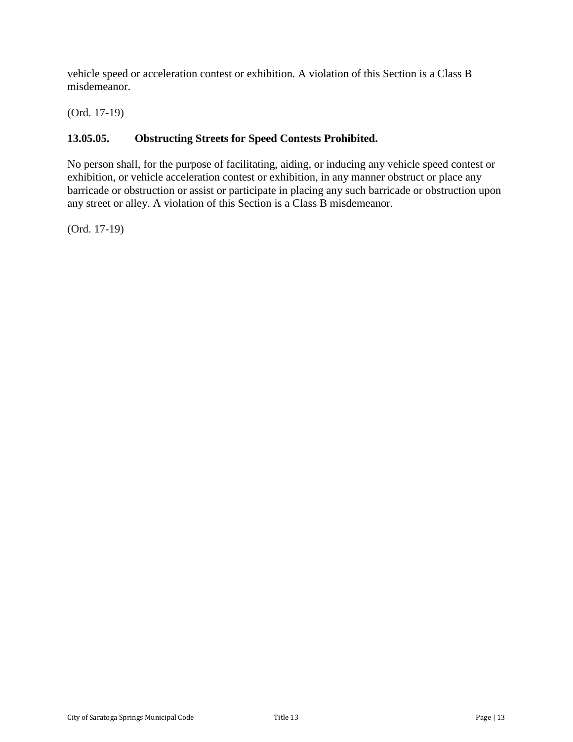vehicle speed or acceleration contest or exhibition. A violation of this Section is a Class B misdemeanor.

(Ord. 17-19)

## <span id="page-12-0"></span>**13.05.05. Obstructing Streets for Speed Contests Prohibited.**

No person shall, for the purpose of facilitating, aiding, or inducing any vehicle speed contest or exhibition, or vehicle acceleration contest or exhibition, in any manner obstruct or place any barricade or obstruction or assist or participate in placing any such barricade or obstruction upon any street or alley. A violation of this Section is a Class B misdemeanor.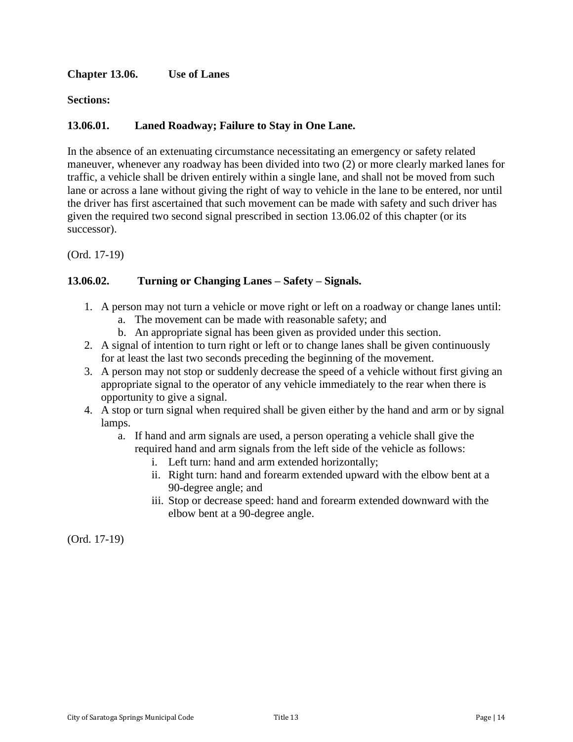### <span id="page-13-0"></span>**Chapter 13.06. Use of Lanes**

**Sections:**

### **13.06.01. Laned Roadway; Failure to Stay in One Lane.**

In the absence of an extenuating circumstance necessitating an emergency or safety related maneuver, whenever any roadway has been divided into two (2) or more clearly marked lanes for traffic, a vehicle shall be driven entirely within a single lane, and shall not be moved from such lane or across a lane without giving the right of way to vehicle in the lane to be entered, nor until the driver has first ascertained that such movement can be made with safety and such driver has given the required two second signal prescribed in section 13.06.02 of this chapter (or its successor).

(Ord. 17-19)

### **13.06.02. Turning or Changing Lanes – Safety – Signals.**

- 1. A person may not turn a vehicle or move right or left on a roadway or change lanes until:
	- a. The movement can be made with reasonable safety; and
	- b. An appropriate signal has been given as provided under this section.
- 2. A signal of intention to turn right or left or to change lanes shall be given continuously for at least the last two seconds preceding the beginning of the movement.
- 3. A person may not stop or suddenly decrease the speed of a vehicle without first giving an appropriate signal to the operator of any vehicle immediately to the rear when there is opportunity to give a signal.
- 4. A stop or turn signal when required shall be given either by the hand and arm or by signal lamps.
	- a. If hand and arm signals are used, a person operating a vehicle shall give the required hand and arm signals from the left side of the vehicle as follows:
		- i. Left turn: hand and arm extended horizontally;
		- ii. Right turn: hand and forearm extended upward with the elbow bent at a 90-degree angle; and
		- iii. Stop or decrease speed: hand and forearm extended downward with the elbow bent at a 90-degree angle.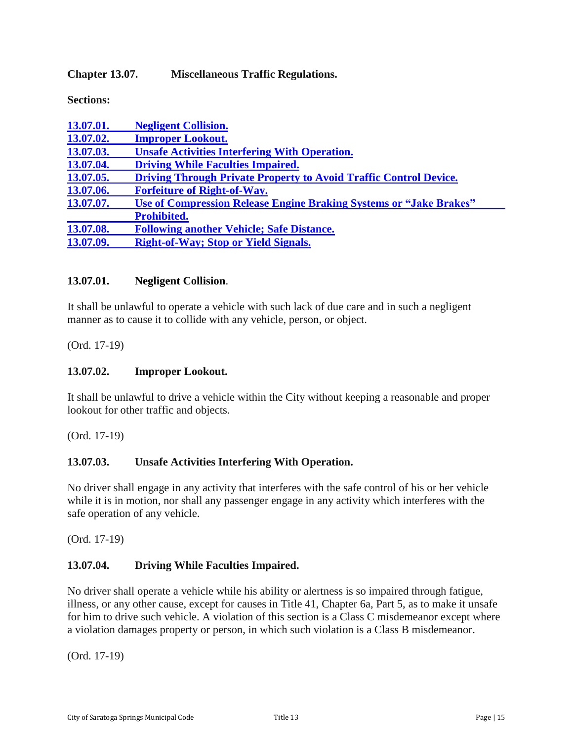### <span id="page-14-0"></span>**Chapter 13.07. Miscellaneous Traffic Regulations.**

**Sections:**

| 13.07.01. | <b>Negligent Collision.</b>                                               |
|-----------|---------------------------------------------------------------------------|
| 13.07.02. | <b>Improper Lookout.</b>                                                  |
| 13.07.03. | <b>Unsafe Activities Interfering With Operation.</b>                      |
| 13.07.04. | <b>Driving While Faculties Impaired.</b>                                  |
| 13.07.05. | <b>Driving Through Private Property to Avoid Traffic Control Device.</b>  |
| 13.07.06. | <b>Forfeiture of Right-of-Way.</b>                                        |
| 13.07.07. | <b>Use of Compression Release Engine Braking Systems or "Jake Brakes"</b> |
|           | <b>Prohibited.</b>                                                        |
| 13.07.08. | <b>Following another Vehicle; Safe Distance.</b>                          |
| 13.07.09. | <b>Right-of-Way; Stop or Yield Signals.</b>                               |

#### <span id="page-14-1"></span>**13.07.01. Negligent Collision**.

It shall be unlawful to operate a vehicle with such lack of due care and in such a negligent manner as to cause it to collide with any vehicle, person, or object.

(Ord. 17-19)

#### <span id="page-14-2"></span>**13.07.02. Improper Lookout.**

It shall be unlawful to drive a vehicle within the City without keeping a reasonable and proper lookout for other traffic and objects.

(Ord. 17-19)

#### <span id="page-14-3"></span>**13.07.03. Unsafe Activities Interfering With Operation.**

No driver shall engage in any activity that interferes with the safe control of his or her vehicle while it is in motion, nor shall any passenger engage in any activity which interferes with the safe operation of any vehicle.

(Ord. 17-19)

#### <span id="page-14-4"></span>**13.07.04. Driving While Faculties Impaired.**

No driver shall operate a vehicle while his ability or alertness is so impaired through fatigue, illness, or any other cause, except for causes in Title 41, Chapter 6a, Part 5, as to make it unsafe for him to drive such vehicle. A violation of this section is a Class C misdemeanor except where a violation damages property or person, in which such violation is a Class B misdemeanor.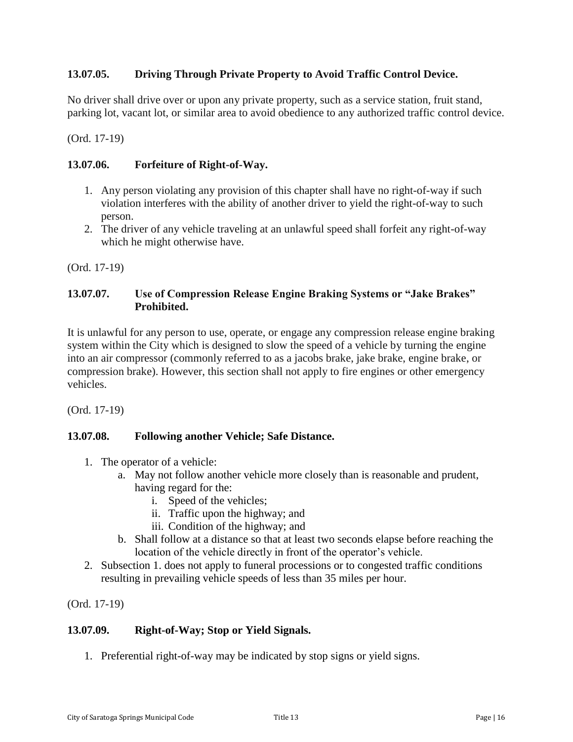### <span id="page-15-0"></span>**13.07.05. Driving Through Private Property to Avoid Traffic Control Device.**

No driver shall drive over or upon any private property, such as a service station, fruit stand, parking lot, vacant lot, or similar area to avoid obedience to any authorized traffic control device.

(Ord. 17-19)

## <span id="page-15-1"></span>**13.07.06. Forfeiture of Right-of-Way.**

- 1. Any person violating any provision of this chapter shall have no right-of-way if such violation interferes with the ability of another driver to yield the right-of-way to such person.
- 2. The driver of any vehicle traveling at an unlawful speed shall forfeit any right-of-way which he might otherwise have.

(Ord. 17-19)

### <span id="page-15-2"></span>**13.07.07. Use of Compression Release Engine Braking Systems or "Jake Brakes" Prohibited.**

It is unlawful for any person to use, operate, or engage any compression release engine braking system within the City which is designed to slow the speed of a vehicle by turning the engine into an air compressor (commonly referred to as a jacobs brake, jake brake, engine brake, or compression brake). However, this section shall not apply to fire engines or other emergency vehicles.

(Ord. 17-19)

### <span id="page-15-3"></span>**13.07.08. Following another Vehicle; Safe Distance.**

- 1. The operator of a vehicle:
	- a. May not follow another vehicle more closely than is reasonable and prudent, having regard for the:
		- i. Speed of the vehicles;
		- ii. Traffic upon the highway; and
		- iii. Condition of the highway; and
	- b. Shall follow at a distance so that at least two seconds elapse before reaching the location of the vehicle directly in front of the operator's vehicle.
- 2. Subsection 1. does not apply to funeral processions or to congested traffic conditions resulting in prevailing vehicle speeds of less than 35 miles per hour.

(Ord. 17-19)

### <span id="page-15-4"></span>**13.07.09. Right-of-Way; Stop or Yield Signals.**

1. Preferential right-of-way may be indicated by stop signs or yield signs.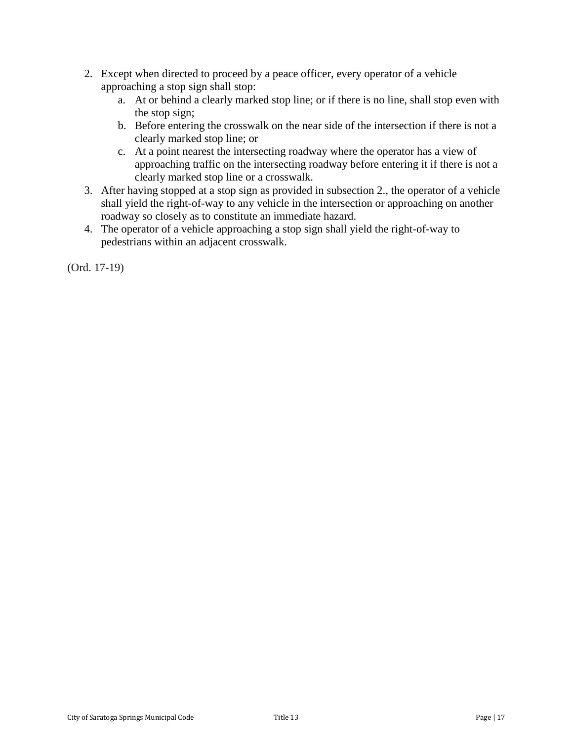- 2. Except when directed to proceed by a peace officer, every operator of a vehicle approaching a stop sign shall stop:
	- a. At or behind a clearly marked stop line; or if there is no line, shall stop even with the stop sign;
	- b. Before entering the crosswalk on the near side of the intersection if there is not a clearly marked stop line; or
	- c. At a point nearest the intersecting roadway where the operator has a view of approaching traffic on the intersecting roadway before entering it if there is not a clearly marked stop line or a crosswalk.
- 3. After having stopped at a stop sign as provided in subsection 2., the operator of a vehicle shall yield the right-of-way to any vehicle in the intersection or approaching on another roadway so closely as to constitute an immediate hazard.
- 4. The operator of a vehicle approaching a stop sign shall yield the right-of-way to pedestrians within an adjacent crosswalk.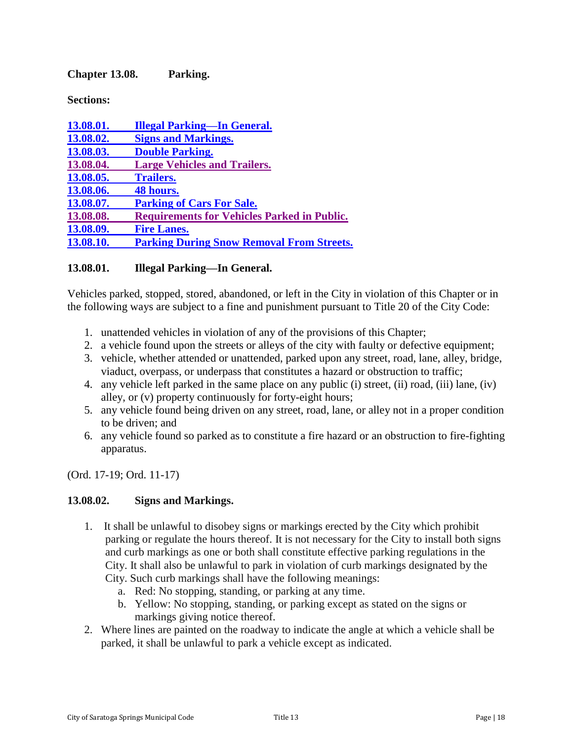<span id="page-17-0"></span>**Chapter 13.08. Parking.**

**Sections:**

| 13.08.01. | <b>Illegal Parking—In General.</b>                 |
|-----------|----------------------------------------------------|
| 13.08.02. | <b>Signs and Markings.</b>                         |
| 13.08.03. | <b>Double Parking.</b>                             |
| 13.08.04. | <b>Large Vehicles and Trailers.</b>                |
| 13.08.05. | <b>Trailers.</b>                                   |
| 13.08.06. | 48 hours.                                          |
| 13.08.07. | <b>Parking of Cars For Sale.</b>                   |
| 13.08.08. | <b>Requirements for Vehicles Parked in Public.</b> |
| 13.08.09. | <b>Fire Lanes.</b>                                 |
| 13.08.10. | <b>Parking During Snow Removal From Streets.</b>   |
|           |                                                    |

### <span id="page-17-1"></span>**13.08.01. Illegal Parking—In General.**

Vehicles parked, stopped, stored, abandoned, or left in the City in violation of this Chapter or in the following ways are subject to a fine and punishment pursuant to Title 20 of the City Code:

- 1. unattended vehicles in violation of any of the provisions of this Chapter;
- 2. a vehicle found upon the streets or alleys of the city with faulty or defective equipment;
- 3. vehicle, whether attended or unattended, parked upon any street, road, lane, alley, bridge, viaduct, overpass, or underpass that constitutes a hazard or obstruction to traffic;
- 4. any vehicle left parked in the same place on any public (i) street, (ii) road, (iii) lane, (iv) alley, or (v) property continuously for forty-eight hours;
- 5. any vehicle found being driven on any street, road, lane, or alley not in a proper condition to be driven; and
- 6. any vehicle found so parked as to constitute a fire hazard or an obstruction to fire-fighting apparatus.

(Ord. 17-19; Ord. 11-17)

#### <span id="page-17-2"></span>**13.08.02. Signs and Markings.**

- 1. It shall be unlawful to disobey signs or markings erected by the City which prohibit parking or regulate the hours thereof. It is not necessary for the City to install both signs and curb markings as one or both shall constitute effective parking regulations in the City. It shall also be unlawful to park in violation of curb markings designated by the City. Such curb markings shall have the following meanings:
	- a. Red: No stopping, standing, or parking at any time.
	- b. Yellow: No stopping, standing, or parking except as stated on the signs or markings giving notice thereof.
- 2. Where lines are painted on the roadway to indicate the angle at which a vehicle shall be parked, it shall be unlawful to park a vehicle except as indicated.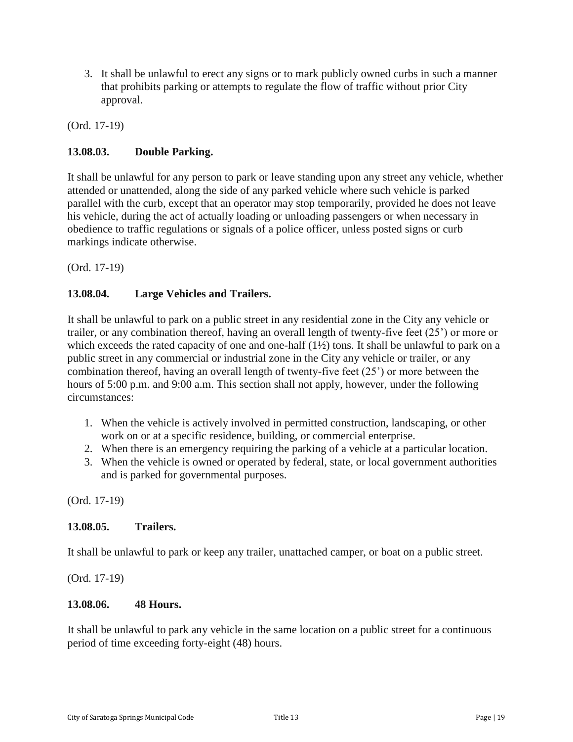3. It shall be unlawful to erect any signs or to mark publicly owned curbs in such a manner that prohibits parking or attempts to regulate the flow of traffic without prior City approval.

(Ord. 17-19)

### <span id="page-18-0"></span>**13.08.03. Double Parking.**

It shall be unlawful for any person to park or leave standing upon any street any vehicle, whether attended or unattended, along the side of any parked vehicle where such vehicle is parked parallel with the curb, except that an operator may stop temporarily, provided he does not leave his vehicle, during the act of actually loading or unloading passengers or when necessary in obedience to traffic regulations or signals of a police officer, unless posted signs or curb markings indicate otherwise.

(Ord. 17-19)

### <span id="page-18-1"></span>**13.08.04. Large Vehicles and Trailers.**

It shall be unlawful to park on a public street in any residential zone in the City any vehicle or trailer, or any combination thereof, having an overall length of twenty-five feet (25') or more or which exceeds the rated capacity of one and one-half (1<sup>1</sup>/<sub>2</sub>) tons. It shall be unlawful to park on a public street in any commercial or industrial zone in the City any vehicle or trailer, or any combination thereof, having an overall length of twenty-five feet (25') or more between the hours of 5:00 p.m. and 9:00 a.m. This section shall not apply, however, under the following circumstances:

- 1. When the vehicle is actively involved in permitted construction, landscaping, or other work on or at a specific residence, building, or commercial enterprise.
- 2. When there is an emergency requiring the parking of a vehicle at a particular location.
- 3. When the vehicle is owned or operated by federal, state, or local government authorities and is parked for governmental purposes.

(Ord. 17-19)

#### <span id="page-18-2"></span>**13.08.05. Trailers.**

It shall be unlawful to park or keep any trailer, unattached camper, or boat on a public street.

(Ord. 17-19)

#### <span id="page-18-3"></span>**13.08.06. 48 Hours.**

It shall be unlawful to park any vehicle in the same location on a public street for a continuous period of time exceeding forty-eight (48) hours.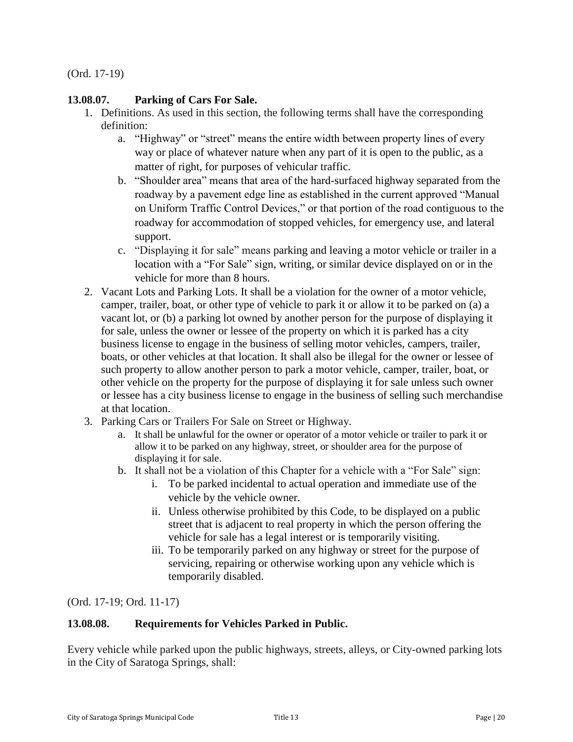## <span id="page-19-0"></span>**13.08.07. Parking of Cars For Sale.**

- 1. Definitions. As used in this section, the following terms shall have the corresponding definition:
	- a. "Highway" or "street" means the entire width between property lines of every way or place of whatever nature when any part of it is open to the public, as a matter of right, for purposes of vehicular traffic.
	- b. "Shoulder area" means that area of the hard-surfaced highway separated from the roadway by a pavement edge line as established in the current approved "Manual on Uniform Traffic Control Devices," or that portion of the road contiguous to the roadway for accommodation of stopped vehicles, for emergency use, and lateral support.
	- c. "Displaying it for sale" means parking and leaving a motor vehicle or trailer in a location with a "For Sale" sign, writing, or similar device displayed on or in the vehicle for more than 8 hours.
- 2. Vacant Lots and Parking Lots. It shall be a violation for the owner of a motor vehicle, camper, trailer, boat, or other type of vehicle to park it or allow it to be parked on (a) a vacant lot, or (b) a parking lot owned by another person for the purpose of displaying it for sale, unless the owner or lessee of the property on which it is parked has a city business license to engage in the business of selling motor vehicles, campers, trailer, boats, or other vehicles at that location. It shall also be illegal for the owner or lessee of such property to allow another person to park a motor vehicle, camper, trailer, boat, or other vehicle on the property for the purpose of displaying it for sale unless such owner or lessee has a city business license to engage in the business of selling such merchandise at that location.
- 3. Parking Cars or Trailers For Sale on Street or Highway.
	- a. It shall be unlawful for the owner or operator of a motor vehicle or trailer to park it or allow it to be parked on any highway, street, or shoulder area for the purpose of displaying it for sale.
	- b. It shall not be a violation of this Chapter for a vehicle with a "For Sale" sign:
		- i. To be parked incidental to actual operation and immediate use of the vehicle by the vehicle owner.
		- ii. Unless otherwise prohibited by this Code, to be displayed on a public street that is adjacent to real property in which the person offering the vehicle for sale has a legal interest or is temporarily visiting.
		- iii. To be temporarily parked on any highway or street for the purpose of servicing, repairing or otherwise working upon any vehicle which is temporarily disabled.

(Ord. 17-19; Ord. 11-17)

### <span id="page-19-1"></span>**13.08.08. Requirements for Vehicles Parked in Public.**

Every vehicle while parked upon the public highways, streets, alleys, or City-owned parking lots in the City of Saratoga Springs, shall: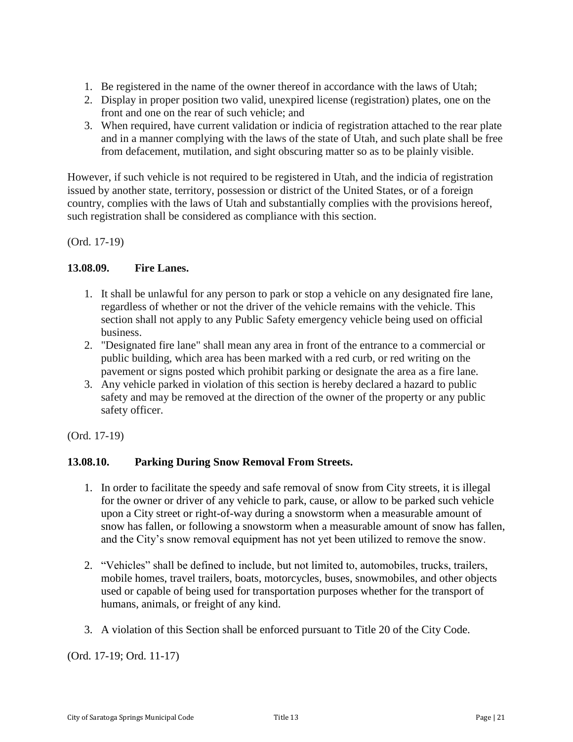- 1. Be registered in the name of the owner thereof in accordance with the laws of Utah;
- 2. Display in proper position two valid, unexpired license (registration) plates, one on the front and one on the rear of such vehicle; and
- 3. When required, have current validation or indicia of registration attached to the rear plate and in a manner complying with the laws of the state of Utah, and such plate shall be free from defacement, mutilation, and sight obscuring matter so as to be plainly visible.

However, if such vehicle is not required to be registered in Utah, and the indicia of registration issued by another state, territory, possession or district of the United States, or of a foreign country, complies with the laws of Utah and substantially complies with the provisions hereof, such registration shall be considered as compliance with this section.

(Ord. 17-19)

### <span id="page-20-0"></span>**13.08.09. Fire Lanes.**

- 1. It shall be unlawful for any person to park or stop a vehicle on any designated fire lane, regardless of whether or not the driver of the vehicle remains with the vehicle. This section shall not apply to any Public Safety emergency vehicle being used on official business.
- 2. "Designated fire lane" shall mean any area in front of the entrance to a commercial or public building, which area has been marked with a red curb, or red writing on the pavement or signs posted which prohibit parking or designate the area as a fire lane.
- 3. Any vehicle parked in violation of this section is hereby declared a hazard to public safety and may be removed at the direction of the owner of the property or any public safety officer.

(Ord. 17-19)

### **13.08.10. Parking During Snow Removal From Streets.**

- 1. In order to facilitate the speedy and safe removal of snow from City streets, it is illegal for the owner or driver of any vehicle to park, cause, or allow to be parked such vehicle upon a City street or right-of-way during a snowstorm when a measurable amount of snow has fallen, or following a snowstorm when a measurable amount of snow has fallen, and the City's snow removal equipment has not yet been utilized to remove the snow.
- 2. "Vehicles" shall be defined to include, but not limited to, automobiles, trucks, trailers, mobile homes, travel trailers, boats, motorcycles, buses, snowmobiles, and other objects used or capable of being used for transportation purposes whether for the transport of humans, animals, or freight of any kind.
- 3. A violation of this Section shall be enforced pursuant to Title 20 of the City Code.

(Ord. 17-19; Ord. 11-17)